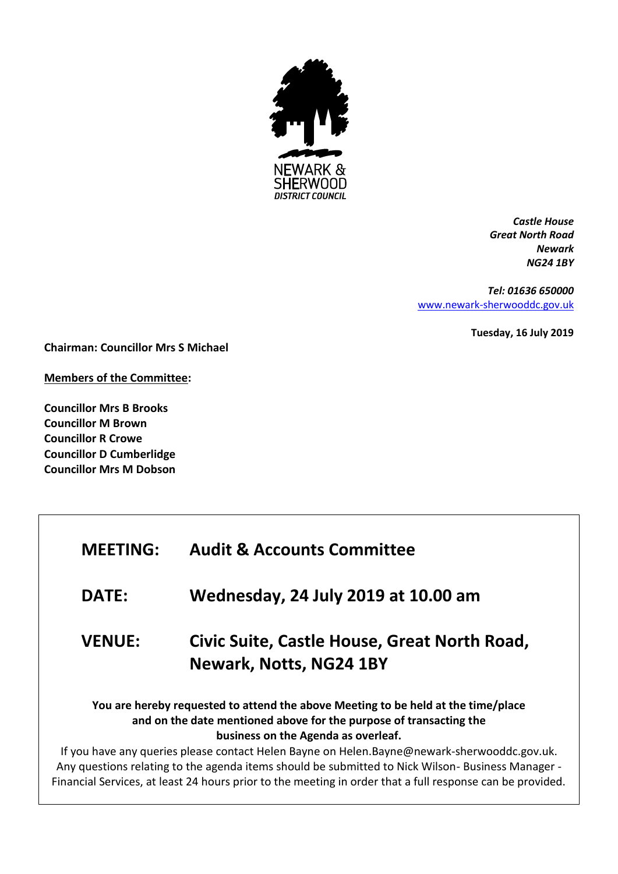

*Castle House Great North Road Newark NG24 1BY*

*Tel: 01636 650000* [www.newark-sherwooddc.gov.uk](http://www.newark-sherwooddc.gov.uk/)

**Tuesday, 16 July 2019**

**Chairman: Councillor Mrs S Michael**

**Members of the Committee:**

**Councillor Mrs B Brooks Councillor M Brown Councillor R Crowe Councillor D Cumberlidge Councillor Mrs M Dobson**

| <b>MEETING:</b> | <b>Audit &amp; Accounts Committee</b>                                                                                                                                                                                                                                                                                                                                                             |
|-----------------|---------------------------------------------------------------------------------------------------------------------------------------------------------------------------------------------------------------------------------------------------------------------------------------------------------------------------------------------------------------------------------------------------|
| <b>DATE:</b>    | Wednesday, 24 July 2019 at 10.00 am                                                                                                                                                                                                                                                                                                                                                               |
| <b>VENUE:</b>   | Civic Suite, Castle House, Great North Road,<br><b>Newark, Notts, NG24 1BY</b>                                                                                                                                                                                                                                                                                                                    |
|                 | You are hereby requested to attend the above Meeting to be held at the time/place<br>and on the date mentioned above for the purpose of transacting the<br>business on the Agenda as overleaf.<br>If you have any queries please contact Helen Bayne on Helen.Bayne@newark-sherwooddc.gov.uk.<br>Any questions relating to the agenda items should be submitted to Nick Wilson-Business Manager - |

Financial Services, at least 24 hours prior to the meeting in order that a full response can be provided.